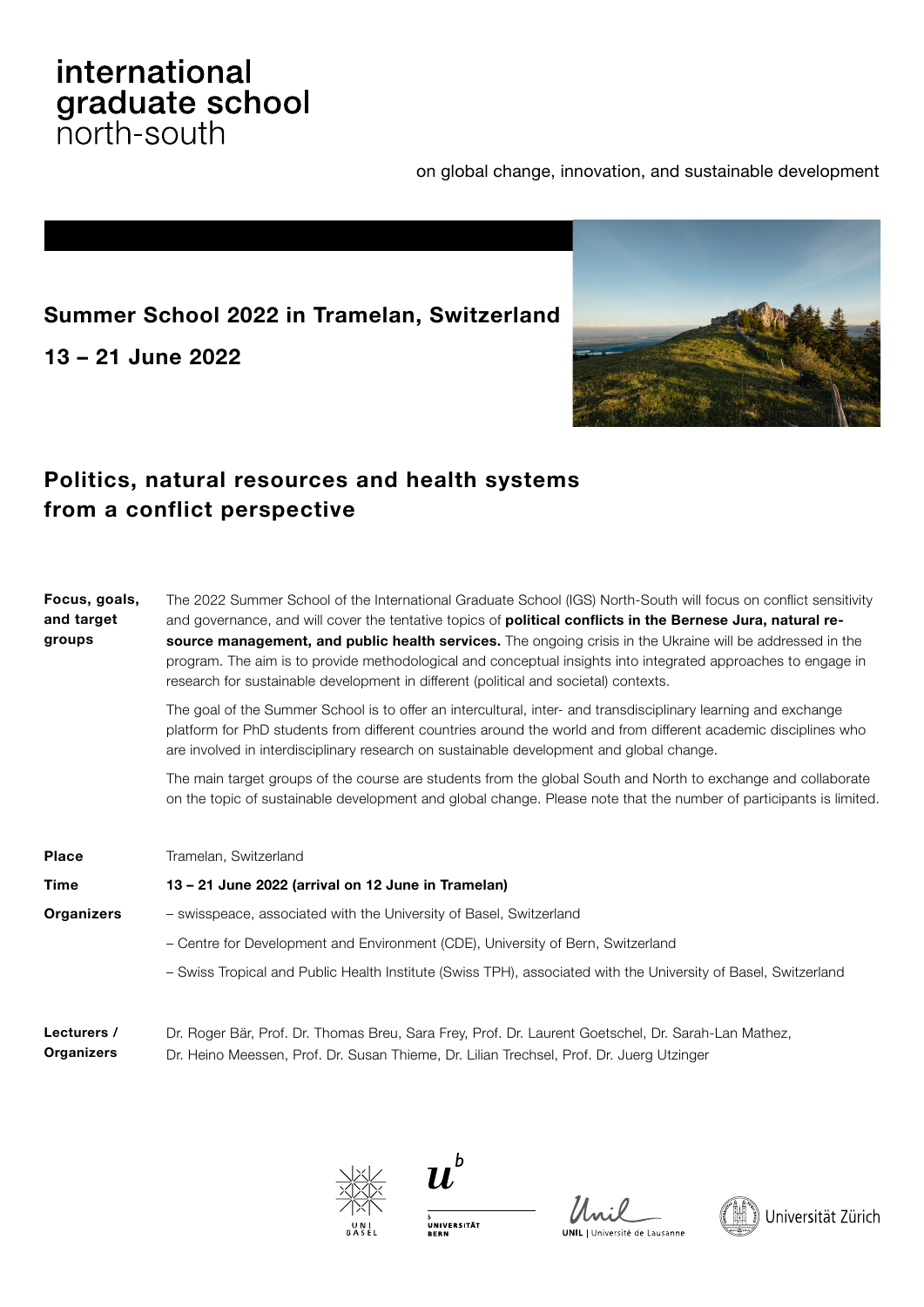# international graduate school

on global change, innovation, and sustainable development

# **Summer School 2022 in Tramelan, Switzerland**

**13 – 21 June 2022**



# **Politics, natural resources and health systems from a conflict perspective**

| Focus, goals,<br>and target<br>groups | The 2022 Summer School of the International Graduate School (IGS) North-South will focus on conflict sensitivity<br>and governance, and will cover the tentative topics of <b>political conflicts in the Bernese Jura, natural re-</b><br>source management, and public health services. The ongoing crisis in the Ukraine will be addressed in the<br>program. The aim is to provide methodological and conceptual insights into integrated approaches to engage in<br>research for sustainable development in different (political and societal) contexts. |
|---------------------------------------|--------------------------------------------------------------------------------------------------------------------------------------------------------------------------------------------------------------------------------------------------------------------------------------------------------------------------------------------------------------------------------------------------------------------------------------------------------------------------------------------------------------------------------------------------------------|
|                                       | The goal of the Summer School is to offer an intercultural, inter- and transdisciplinary learning and exchange<br>platform for PhD students from different countries around the world and from different academic disciplines who<br>are involved in interdisciplinary research on sustainable development and global change.                                                                                                                                                                                                                                |
|                                       | The main target groups of the course are students from the global South and North to exchange and collaborate<br>on the topic of sustainable development and global change. Please note that the number of participants is limited.                                                                                                                                                                                                                                                                                                                          |
| <b>Place</b>                          | Tramelan, Switzerland                                                                                                                                                                                                                                                                                                                                                                                                                                                                                                                                        |
| <b>Time</b>                           | 13 - 21 June 2022 (arrival on 12 June in Tramelan)                                                                                                                                                                                                                                                                                                                                                                                                                                                                                                           |
| <b>Organizers</b>                     | - swisspeace, associated with the University of Basel, Switzerland                                                                                                                                                                                                                                                                                                                                                                                                                                                                                           |
|                                       | - Centre for Development and Environment (CDE), University of Bern, Switzerland                                                                                                                                                                                                                                                                                                                                                                                                                                                                              |
|                                       | - Swiss Tropical and Public Health Institute (Swiss TPH), associated with the University of Basel, Switzerland                                                                                                                                                                                                                                                                                                                                                                                                                                               |
| Lecturers /                           | Dr. Roger Bär, Prof. Dr. Thomas Breu, Sara Frey, Prof. Dr. Laurent Goetschel, Dr. Sarah-Lan Mathez,                                                                                                                                                                                                                                                                                                                                                                                                                                                          |

Dr. Heino Meessen, Prof. Dr. Susan Thieme, Dr. Lilian Trechsel, Prof. Dr. Juerg Utzinger **Organizers**



 $\boldsymbol{u}^{\flat}$ 

<sub>D</sub><br>UNIVERSITÄT<br>BERN

**UNIL I** Université de Lausanne